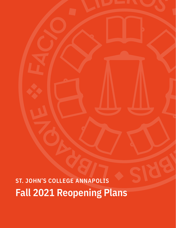# **Fall 2021 Reopening Plans**

**ST. JOHN'S COLLEGE ANNAPOLIS**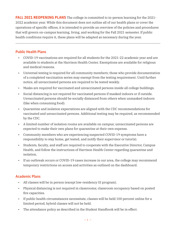**FALL 2021 REOPENING PLANS** The college is committed to in-person learning for the 2021-2022 academic year. While this document does not outline all of our health plans or cover the operations of specific offices, it is intended to provide an overview of the policies and procedures that will govern on-campus learning, living, and working for the Fall 2021 semester. If public health conditions require it, these plans will be adapted as necessary during the year.

# **Public Health Plans**

- COVID-19 vaccinations are required for all students for the 2021-22 academic year and are available to students at the Harrison Health Center. Exemptions are available for religious and medical reasons.
- Universal testing is required for all community members; those who provide documentation of a completed vaccination series may exempt from the testing requirement. Until further notice, all unvaccinated persons are required to be tested weekly.
- Masks are required for vaccinated and unvaccinated persons inside all college buildings.
- Social distancing is not required for vaccinated persons if masked indoors or if outside. Unvaccinated persons should be socially distanced from others when unmasked indoors (like when consuming food).
- Quarantine and isolation expectations are aligned with the CDC recommendations for vaccinated and unvaccinated persons. Additional testing may be required, as recommended by the CDC.
- A limited number of isolation rooms are available on campus; unvaccinated persons are expected to make their own plans for quarantine at their own expense.
- Community members who are experiencing suspected COVID-19 symptoms have a responsibility to stay home, get tested, and notify their supervisor or tutor(s).
- Students, faculty, and staff are required to cooperate with the Executive Director, Campus Health, and follow the instructions of Harrison Health Center regarding quarantine and isolation.
- If an outbreak occurs or COVID-19 cases increase in our area, the college may recommend temporary restrictions on access and activities as outlined on the dashboard.

# **Academic Plans**

- All classes will be in person (except low-residency GI program).
- Physical distancing is not required in classrooms; classroom occupancy based on posted fire capacities.
- If public health circumstances necessitate, classes will be held 100 percent online for a limited period; hybrid classes will not be held.
- The attendance policy as described in the Student Handbook will be in effect.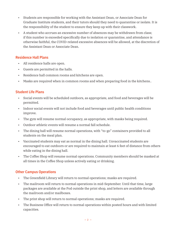- Students are responsible for working with the Assistant Dean, or Associate Dean for Graduate Institute students, and their tutors should they need to quarantine or isolate. It is the responsibility of the student to ensure they keep up with their classwork.
- A student who accrues an excessive number of absences may be withdrawn from class; if this number is exceeded specifically due to isolation or quarantine, and attendance is otherwise faithful, the COVID-related excessive absences will be allowed, at the discretion of the Assistant Dean or Associate Dean.

# **Residence Hall Plans**

- All residence halls are open.
- Guests are permitted in the halls.
- Residence hall common rooms and kitchens are open.
- Masks are required when in common rooms and when preparing food in the kitchens..

# **Student Life Plans**

- Social events will be scheduled outdoors, as appropriate, and food and beverages will be permitted.
- Indoor social events will not include food and beverages until public health conditions improve.
- The gym will resume normal occupancy, as appropriate, with masks being required.
- Outdoor athletic events will resume a normal fall schedule.
- The dining hall will resume normal operations, with "to-go" containers provided to all students on the meal plan.
- Vaccinated students may eat as normal in the dining hall. Unvaccinated students are encouraged to eat outdoors or are required to maintain at least 6 feet of distance from others while eating in the dining hall.
- The Coffee Shop will resume normal operations. Community members should be masked at all times in the Coffee Shop unless actively eating or drinking.

# **Other Campus Operations**

- The Greenfield Library will return to normal operations; masks are required.
- The mailroom will return to normal operations in mid-September. Until that time, large packages are available at the Pod outside the print shop, and letters are available through the mailroom and/or mailboxes.
- The print shop will return to normal operations; masks are required.
- The Business Office will return to normal operations within posted hours and with limited capacities.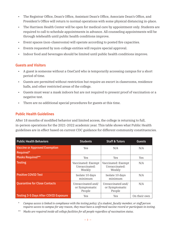- The Registrar Office, Dean's Office, Assistant Dean's Office, Associate Dean's Office, and President's Office will return to normal operations with some physical distancing in-place.
- The Harrison Health Center will be open for medical care by appointment only. Students are required to call to schedule appointments in advance. All counseling appointments will be through telehealth until public health conditions improve.
- Event spaces (non-classrooms) will operate according to posted fire capacities.
- Events requested by non-college entities will require special approval.
- Indoor food and beverages should be limited until public health conditions improve.

## **Guests and Visitors**

- A guest is someone without a OneCard who is temporarily accessing campus for a short period of time.
- Guests are permitted without restriction but require an escort in classrooms, residence halls, and other restricted areas of the college.
- Guests must wear a mask indoors but are not required to present proof of vaccination or a negative test.
- There are no additional special procedures for guests at this time.

## **Public Health Guidelines**

After 18 months of modified behavior and limited access, the college is returning to full, in-person operations for the 2021-2022 academic year. This table shows what Public Health guidelines are in effect based on current CDC guidance for different community constituencies.

| <b>Public Health Behaviors</b>               | <b>Students</b>                               | <b>Staff &amp; Tutors</b>                     | <b>Guests</b> |
|----------------------------------------------|-----------------------------------------------|-----------------------------------------------|---------------|
| <b>Vaccine or Approved Exemption</b>         | Yes                                           | N/A                                           | N/A           |
| Required*                                    |                                               |                                               |               |
| Masks Required**                             | Yes                                           | Yes                                           | Yes           |
| <b>Testing</b>                               | Vaccinated: Exempt<br>Unvaccinated:<br>Weekly | Vaccinated: Exempt<br>Unvaccinated:<br>Weekly | N/A           |
| <b>Positive COVID Test</b>                   | Isolate 10 days<br>minimum                    | Isolate 10 days<br>minimum                    | N/A           |
| <b>Quarantine for Close Contacts</b>         | Unvaccinated and/<br>or Symptomatic<br>People | Unvaccinated and/<br>or Symptomatic<br>People | N/A           |
| <b>Testing 3-5 Days After COVID Exposure</b> | Yes                                           | Yes                                           | On their own  |

\* *Campus access is linked to compliance with the testing policy; if a student, faculty member, or staff person requires access to campus for any reason, they must have a confirmed vaccine record or participate in testing.*

\*\* *Masks are required inside all college facilities for all people regardless of vaccination status.*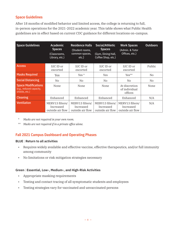# **Space Guidelines**

After 18 months of modified behavior and limited access, the college is returning to full, in-person operations for the 2021-2022 academic year. This table shows what Public Health guidelines are in effect based on current CDC guidance for different locations on-campus.

| <b>Space Guidelines</b>                                                  | <b>Academic</b><br><b>Spaces</b><br>(Classrooms,<br>Library, etc.) | <b>Residence Halls</b><br>(Student rooms,<br>common spaces,<br>etc.) | Social/Athletic<br><b>Spaces</b><br>(Gym, Dining Hall,<br>Coffee Shop, etc.) | <b>Work Spaces</b><br>(Admin. & Tutor<br>Offices, etc.) | <b>Outdoors</b> |
|--------------------------------------------------------------------------|--------------------------------------------------------------------|----------------------------------------------------------------------|------------------------------------------------------------------------------|---------------------------------------------------------|-----------------|
| <b>Access</b>                                                            | SJC ID or<br>escorted                                              | SJC ID or<br>escorted                                                | SJC ID or<br>escorted                                                        | SJC ID or<br>escorted                                   | Public          |
| <b>Masks Required</b>                                                    | Yes                                                                | Yes $*$                                                              | Yes                                                                          | $Yes**$                                                 | No.             |
| <b>Social Distancing</b>                                                 | N <sub>0</sub>                                                     | N <sub>0</sub>                                                       | N <sub>0</sub>                                                               | N <sub>0</sub>                                          | No.             |
| <b>Space Modifications</b><br>(e.g., reduced capacity,<br>shields, etc.) | None                                                               | None                                                                 | None                                                                         | At discretion<br>of individual<br>offices               | None            |
| <b>Cleaning</b>                                                          | Enhanced                                                           | Enhanced                                                             | Enhanced                                                                     | Enhanced                                                | N/A             |
| <b>Ventilation</b>                                                       | MERV13 filters/<br>Increased<br>outside air flow                   | MERV13 filters/<br>Increased<br>outside air flow                     | MERV13 filters/<br>Increased<br>outside air flow                             | MERV13 filters/<br>Increased<br>outside air flow        | N/A             |

\* *Masks are not required in your own room.*

\*\* *Masks are not required if in a private office alone.*

# **Fall 2021 Campus Dashboard and Operating Phases**

#### **BLUE** | **Return to all activities**

- Requires widely available and effective vaccine, effective therapeutics, and/or full immunity among community
- No limitations or risk mitigation strategies necessary

## **Green** | **Essential, Low-, Medium-, and High-Risk Activities**

- Appropriate masking requirements
- Testing and contact tracing of all symptomatic students and employees
- Testing strategies vary for vaccinated and unvaccinated persons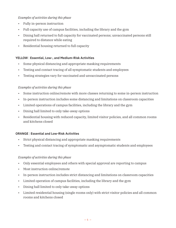## *Examples of activities during this phase*

- Fully in-person instruction
- Full capacity use of campus facilities, including the library and the gym
- Dining hall returned to full capacity for vaccinated persons; unvaccinated persons still required to distance while eating
- Residential housing returned to full capacity

## **YELLOW** | **Essential, Low-, and Medium-Risk Activities**

- Some physical distancing and appropriate masking requirements
- Testing and contact tracing of all symptomatic students and employees
- Testing strategies vary for vaccinated and unvaccinated persons

## *Examples of activities during this phase*

- Some instruction online/remote with more classes returning to some in-person instruction
- In-person instruction includes some distancing and limitations on classroom capacities
- Limited operations of campus facilities, including the library and the gym
- Dining hall limited to only take-away options
- Residential housing with reduced capacity, limited visitor policies, and all common rooms and kitchens closed

## **ORANGE** | **Essential and Low-Risk Activities**

- Strict physical distancing and appropriate masking requirements
- Testing and contact tracing of symptomatic and asymptomatic students and employees

## *Examples of activities during this phase*

- Only essential employees and others with special approval are reporting to campus
- Most instruction online/remote
- In-person instruction includes strict distancing and limitations on classroom capacities
- Limited operation of campus facilities, including the library and the gym
- Dining hall limited to only take-away options
- Limited residential housing (single rooms only) with strict visitor policies and all common rooms and kitchens closed